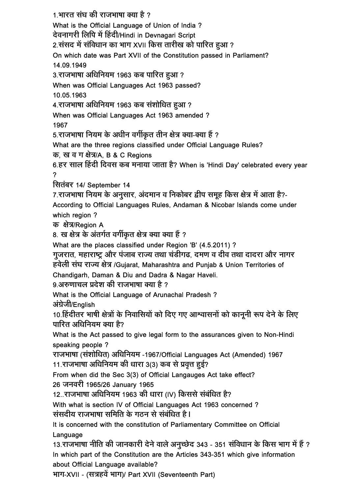<u>1.भारत संघ की राजभाषा क्या है ?</u>

What is the Official Language of Union of India ?

देवनागरी लिपि में हिंदी/Hindi in Devnagari Script

2.संसद में संविधान का भाग XVII किस तारीख को पारित हुआ ?

On which date was Part XVII of the Constitution passed in Parliament?

14.09.1949

3.राजभाषा अधिनियम 1963 कब पारित हुआ?

When was Official Languages Act 1963 passed?

10.05.1963

4.राजभाषा अधिनियम 1963 कब संशोधित हुआ ?

When was Official Languages Act 1963 amended ?

1967

5. राजभाषा नियम के अधीन वर्गीकृत तीन क्षेत्र क्या-क्या हैं ?

What are the three regions classified under Official Language Rules?

क, ख व ग क्षेत्र/A, B & C Regions

6. हर साल हिंदी दिवस कब मनाया जाता है? When is 'Hindi Day' celebrated every year ?

सितंबर 14/ September 14

7.राजभाषा नियम के अनुसार, अंदमान व निकोबर द्वीप समूह किस क्षेत्र में आता है?-

According to Official Languages Rules, Andaman & Nicobar Islands come under which region ?

क क्षेत्र/Region A

8. ख क्षेत्र के अंतर्गत वर्गीकृत क्षेत्र क्या क्या हैं ?

What are the places classified under Region 'B' (4.5.2011) ?

गुजरात, महाराष्ट्र और पंजाब राज्य तथा चंडीगढ, दमण व दीव तथा दादरा और नागर

हवेली संघ राज्य क्षेत्र /Gujarat, Maharashtra and Punjab & Union Territories of Chandigarh, Daman & Diu and Dadra & Nagar Haveli.

९.अरुणाचल प्रदेश की राजभाषा क्या है ?

What is the Official Language of Arunachal Pradesh ? अंग्रेजी/English

10.हिंदीतर भाषी क्षेत्रों के निवासियों को दिए गए आश्वासनों को कानूनी रूप देने के लिए पारित अधिनियम क्या है?

What is the Act passed to give legal form to the assurances given to Non-Hindi speaking people ?

राजभाषा (संशोधित) अधिनियम -1967/Official Languages Act (Amended) 1967

11. राजभाषा अधिनियम की धारा 3(3) कब से प्रवृत्त हुई?

From when did the Sec 3(3) of Official Langauges Act take effect?

26 जनवरी 1965/26 January 1965

12..राजभाषा अधिनियम 1963 की धारा (IV) किससे संबंधित है?

With what is section IV of Official Languages Act 1963 concerned ?

<u>संसदीय राजभाषा समिति के गठन से संबंधित है।</u>

It is concerned with the constitution of Parliamentary Committee on Official Language

13.राजभाषा नीति की जानकारी देने वाले अनुच्छेद 343 - 351 संविधान के किस भाग में हैं ? In which part of the Constitution are the Articles 343-351 which give information about Official Language available?

³ÖÖÝÖ-XVII - (ÃÖ¡ÖÆü¾Öë ³ÖÖÝÖ)/ Part XVII (Seventeenth Part)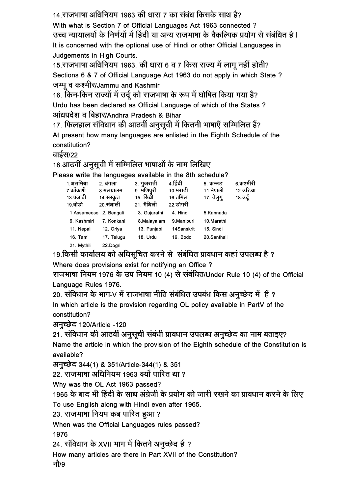14. राजभाषा अधिनियम 1963 की धारा 7 का संबंध किसके साथ है?

With what is Section 7 of Official Languages Act 1963 connected ? उच्च न्यायालयों के निर्णयों में हिंदी या अन्य राजभाषा के वैकल्पिक प्रयोग से संबंधित है। It is concerned with the optional use of Hindi or other Official Languages in Judgements in High Courts.

15. राजभाषा अधिनियम 1963, की धारा 6 व 7 किस राज्य में लागू नहीं होती? Sections 6 & 7 of Official Language Act 1963 do not apply in which State ? जम्मू व कश्मीर/Jammu and Kashmir

16. किन-किन राज्यों में उर्दू को राजभाषा के रूप में घोषित किया गया है? Urdu has been declared as Official Language of which of the States ? आंध्रप्रदेश व बिहार/Andhra Pradesh & Bihar

17. फिलहाल संविधान की आठवीं अनुसुची में कितनी भाषाएँ सम्मिलित हैं?

At present how many languages are enlisted in the Eighth Schedule of the constitution?

## बाईस/22

## 18.आठवीं अनुसूची में सम्मिलित भाषाओं के नाम लिखिए

Please write the languages available in the 8th schedule?

| 1.असमिया    | 2. बंगला   | ३. गुजराती   | 4 हिंदी     | 5. कन्नड    | 6 कश्मीरी |
|-------------|------------|--------------|-------------|-------------|-----------|
| 7.कोंकणी    | 8.मलयालम   | 9. मणिपुरी   | 10.मराठी    | 11. नेपाली  | 12.उडिया  |
| 13 पंजाबी   | 14 संस्कृत | 15. रिंाधी   | 16.तमिल     | 17. तेलुगु  | 18.उर्दू  |
| 19.बोडो     | 20 रांथाली | 21. मैथिली   | 22.डोगरी    |             |           |
| 1.Assameese | 2. Bengali | 3. Gujarathi | 4. Hindi    | 5.Kannada   |           |
| 6. Kashmiri | 7 Konkani  | 8.Malayalam  | 9. Manipuri | 10. Marathi |           |
| 11. Nepali  | 12. Oriva  | 13. Punjabi  | 14Sanskrit  | 15 Sindi    |           |
| 16. Tamil   | 17. Telugu | 18. Urdu     | 19. Bodo    | 20.Santhali |           |
| 21. Mythili | 22.Dogri   |              |             |             |           |
|             |            |              |             |             |           |

19.किसी कार्यालय को अधिसुचित करने से संबंधित प्रावधान कहां उपलब्ध है ? Where does provisions exist for notifying an Office ?

राजभाषा नियम 1976 के उप नियम 10 (4) से संबंधित/Under Rule 10 (4) of the Official Language Rules 1976.

20. संविधान के भाग-V में राजभाषा नीति संबंधित उपबंध किस अनच्छेद में) हैं ? In which article is the provision regarding OL policy available in PartV of the constitution?

अनुच्छेद 120/Article -120

21. संविधान की आठवीं अनुसूची संबंधी प्रावधान उपलब्ध अनुच्छेद का नाम बताइए?

Name the article in which the provision of the Eighth schedule of the Constitution is available?

अनृच्छेद 344(1) & 351/Article-344(1) & 351

22. राजभाषा अधिनियम 1963 क्यों पारित था ?

Why was the OL Act 1963 passed?

1965 के बाद भी हिंदी के साथ अंग्रेजी के प्रयोग को जारी रखने का प्रावधान करने के लिए

To use English along with Hindi even after 1965.

23. राजभाषा नियम कब पारित हुआ ?

When was the Official Languages rules passed?

1976

24. संविधान के XVII भाग में कितने अनुच्छेद हैं ?

How many articles are there in Part XVII of the Constitution?

®ÖÖî/9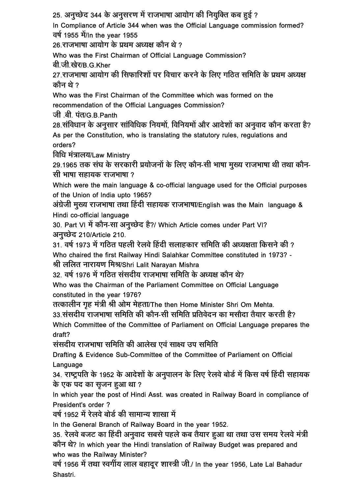25. अनुच्छेद 344 के अनुसरण में राजभाषा आयोग की नियुक्ति कब हुई ?

In Compliance of Article 344 when was the Official Language commission formed? वर्ष 1955 में/In the year 1955

26. राजभाषा आयोग के प्रथम अध्यक्ष कौन थे ?

Who was the First Chairman of Official Language Commission?

बी.जी.खेर/B.G.Kher

27. राजभाषा आयोग की सिफारिशों पर विचार करने के लिए गठित समिति के प्रथम अध्यक्ष कौन थे ?

Who was the First Chairman of the Committee which was formed on the recommendation of the Official Languages Commission?

जी .बी. पंत/G.B.Panth

28. संविधान के अनुसार सांविधिक नियमों, विनियमों और आदेशों का अनुवाद कौन करता है? As per the Constitution, who is translating the statutory rules, regulations and orders?

विधि मंत्रालय/Law Ministry

29.1965 तक संघ के सरकारी प्रयोजनों के लिए कौन-सी भाषा मुख्य राजभाषा थी तथा कौन-<u>सी भाषा सहायक राजभाषा ?</u>

Which were the main language & co-official language used for the Official purposes of the Union of India upto 1965?

अंग्रेजी मुख्य राजभाषा तथा हिंदी सहायक राजभाषा/English was the Main language & Hindi co-official language

30. Part VI में कौन-सा अनुच्छेद है?/ Which Article comes under Part VI? अनुच्छेद 210/Article 210.

 $31$ ़वर्ष 1973 में गठित पहली रेलवे हिंदी सलाहकार समिति की अध्यक्षता किसने की ? Who chaired the first Railway Hindi Salahkar Committee constituted in 1973? - श्री ललित नारायण मिश्र/Shri Lalit Narayan Mishra

32. वर्ष 1976 में गठित संसदीय राजभाषा समिति के अध्यक्ष कौन थे?

Who was the Chairman of the Parliament Committee on Official Language constituted in the year 1976?

तत्कालीन गृह मंत्री श्री ओम मेहता/The then Home Minister Shri Om Mehta.

33 संसदीय राजभाषा समिति की कौन-सी समिति प्रतिवेदन का मसौदा तैयार करती है? Which Committee of the Committee of Parliament on Official Language prepares the

draft? संसदीय राजभाषा समिति की आलेख एवं साक्ष्य उप समिति

Drafting & Evidence Sub-Committee of the Committee of Parliament on Official Language

34. राष्ट्रपति के 1952 के आदेशों के अनुपालन के लिए रेलवे बोर्ड में किस वर्ष हिंदी सहायक के एक पद का सुजन हुआ था ?

In which year the post of Hindi Asst. was created in Railway Board in compliance of President's order ?

वर्ष 1952 में रेलवे बोर्ड की सामान्य शाखा में

In the General Branch of Railway Board in the year 1952.

35. रेलवे बजट का हिंदी अनुवाद सबसे पहले कब तैयार हुआ था तथा उस समय रेलवे मंत्री ÛúÖî®Ö £Öê? In which year the Hindi translation of Railway Budget was prepared and who was the Railway Minister?

वर्ष 1956 में तथा स्वर्गीय लाल बहादूर शास्त्री जी./ In the year 1956, Late Lal Bahadur Shastri.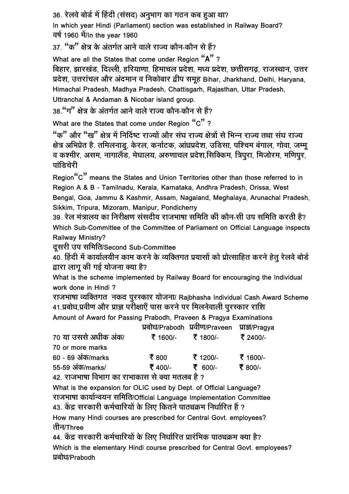36. रेलवे बोर्ड में हिंदी (संसद) अनुभाग का गठन कब हुआ था?

In which year Hindi (Parliament) section was established in Railway Board? वर्ष 1960 में/In the year 1960

37. "क" क्षेत्र के अंतर्गत आने वाले राज्य कौन-कौन से हैं?

What are all the States that come under Region "A" ? बिहार, झारखंड, दिल्ली, हरियाणा, हिमाचल प्रदेश, मध्य प्रदेश, छत्तीसगढ, राजस्थान, उत्तर प्रदेश, उत्तरांचल और अंदमान व निकोबार द्वीप समूह Bihar, Jharkhand, Delhi, Haryana, Himachal Pradesh, Madhya Pradesh, Chattisgarh, Rajasthan, Uttar Pradesh, Uttranchal & Andaman & Nicobar island group.

38 "ग" क्षेत्र के अंतर्गत आने वाले राज्य कौन-कौन से हैं?

What are the States that come under Region "C"?

"क" और "ख" क्षेत्र में निर्दिष्ट राज्यों और संघ राज्य क्षेत्रों से भिन्न राज्य तथा संघ राज्य <u>क्षेत्र अभिप्रेत है. तमिलनाडु, केरल, कर्नाटक, आंध्रप्रदेश, उडिसा, पश्चिम बंगाल, गोवा, जम्मु</u> व कश्मीर, असम, नागालैंड, मेघालय, अरुणाचल प्रदेश,सिक्किम, त्रिपुरा, मिजोरम, मणिपुर,  $\overline{\text{trick}}$ नेरी

Region"C" means the States and Union Territories other than those referred to in Region A & B - Tamilnadu, Kerala, Karnataka, Andhra Pradesh, Orissa, West Bengal, Goa, Jammu & Kashmir, Assam, Nagaland, Meghalaya, Arunachal Pradesh, Sikkim, Tripura, Mizoram, Manipur, Pondicherry

<u>39. रेल मंत्रालय का निरीक्षण संसदीय राजभाषा समिति की कौन-सी उप समिति करती है?</u> Which Sub-Committee of the Committee of Parliament on Official Language inspects Railway Ministry?

दसरी उप समिति/Second Sub-Committee

 $\hat{40}$ . हिंदी में कार्यालयीन काम करने के व्यक्तिगत प्रयासों को प्रोत्साहित करने हेतु रेलवे बोर्ड द्वारा लाग की गई योजना क्या है?

What is the scheme implemented by Railway Board for encouraging the Individual work done in Hindi ?

राजभाषा व्यक्तिगत नकद पुरस्कार योजना/ Rajbhasha Individual Cash Award Scheme 41.प्रबोध,प्रवीण और प्राज्ञ परीक्षाएँ पास करने पर मिलनेवाली पुरस्कार राशि

Amount of Award for Passing Prabodh, Praveen & Pragya Examinations  $T/D$ <sub>sebed</sub>k  $T\widehat{D}$ m $/D$ 

|                                  |                   | <b>Helid/Prabodn Heliol/Praveen Hist/Pragva</b> |          |
|----------------------------------|-------------------|-------------------------------------------------|----------|
| 70 या उससे अधीक अंक/             | ₹ 1600/- ₹ 1800/- |                                                 | ₹ 2400/- |
| 70 or more marks                 |                   |                                                 |          |
| $60 - 69$ $3\overline{4}$ /marks | ₹800              | ₹ 1200/-                                        | ₹ 1600/- |
| 55-59 अंक/marks/                 | ₹ 400/-           | ₹ 600/-                                         | ₹ 800/-  |
|                                  |                   |                                                 |          |

42. राजभाषा विभाग का राभाकास से क्या मतलब है ?

What is the expansion for OLIC used by Dept. of Official Language? राजभाषा कार्यान्वयन समिति/Official Language Implementation Committee 43. केंद्र सरकारी कर्मचारियों के लिए कितने पाठ्यक्रम निर्धारित हैं ?

How many Hindi courses are prescribed for Central Govt. employees? तीन/Three

44. केंद्र सरकारी कर्मचारियों के लिए निर्धारित प्रारंभिक पाठ्यक्रम क्या है? Which is the elementary Hindi course prescribed for Central Govt. employees? प्रबोध/Prabodh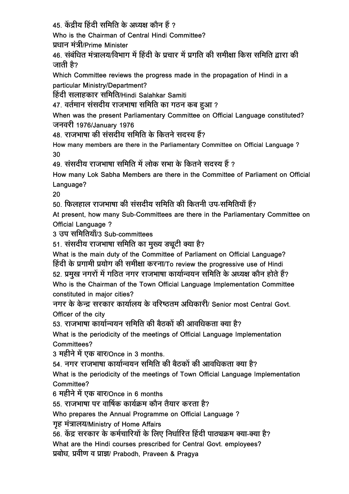$45$  केंद्रीय हिंदी समिति के अध्यक्ष कौन हैं ?

Who is the Chairman of Central Hindi Committee?

प्रधान मंत्री/Prime Minister

46. संबंधित मंत्रालय/विभाग में हिंदी के प्रचार में प्रगति की समीक्षा किस समिति द्वारा की जाती है?

Which Committee reviews the progress made in the propagation of Hindi in a particular Ministry/Department?

हिंदी सलाहकार समिति/Hindi Salahkar Samiti

47. वर्तमान संसदीय राजभाषा समिति का गठन कब हुआ ?

When was the present Parliamentary Committee on Official Language constituted? जनवरी 1976/January 1976

48. राजभाषा की संसदीय समिति के कितने सदस्य हैं?

How many members are there in the Parliamentary Committee on Official Language ? 30

49. संसदीय राजभाषा समिति में लोक सभा के कितने सदस्य हैं ?

How many Lok Sabha Members are there in the Committee of Parliament on Official Language?

20

 $50$  फिलहाल राजभाषा की संसदीय समिति की कितनी उप-समितियाँ हैं?

At present, how many Sub-Committees are there in the Parliamentary Committee on Official Language ?

3 उप समितियाँ/3 Sub-committees

51. संसदीय राजभाषा समिति का मुख्य ड्यूटी क्या है?

What is the main duty of the Committee of Parliament on Official Language? हिंदी के प्रगामी प्रयोग की समीक्षा करना/To review the progressive use of Hindi 52. प्रमुख नगरों में गठित नगर राजभाषा कार्यान्वयन समिति के अध्यक्ष कौन होते हैं? Who is the Chairman of the Town Official Language Implementation Committee constituted in major cities?

नगर के केन्द्र सरकार कार्यालय के वरिष्ठतम अधिकारी/ Senior most Central Govt. Officer of the city

53. राजभाषा कार्यान्वयन समिति की बैठकों की आवधिकता क्या है?

What is the periodicity of the meetings of Official Language Implementation Committees?

3 महीने में एक बार/Once in 3 months.

54 नगर राजभाषा कार्यान्वयन समिति की बैतकों की आवधिकता क्या है?

What is the periodicity of the meetings of Town Official Language Implementation Committee?

6 महीने में एक बार/Once in 6 months

<u>55. राजभाषा पर वार्षिक कार्यक्रम कौन तैयार करता है?</u>

Who prepares the Annual Programme on Official Language ?

गुह मंत्रालय/Ministry of Home Affairs

<u>56. केंद्र सरकार के कर्मचारियों के लिए निर्धारित हिंदी पाठ्यक्रम क्या-क्या है?</u>

What are the Hindi courses prescribed for Central Govt. employees?

प्रबोध, प्रवीण व प्राज्ञ/ Prabodh, Praveen & Pragya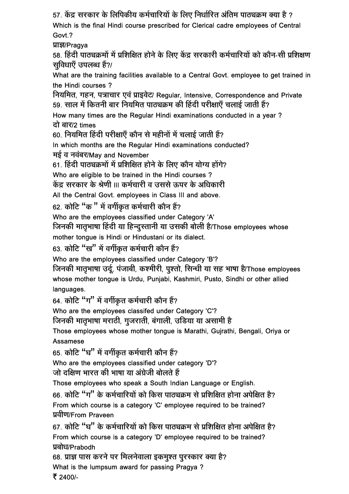57. केंद्र सरकार के लिपिकीय कर्मचारियों के लिए निर्धारित अंतिम पाठ्यक्रम क्या है ?

Which is the final Hindi course prescribed for Clerical cadre employees of Central Govt.?

प्राज्ञ/Pragya

58. हिंदी पाठ्यक्रमों में प्रशिक्षित होने के लिए केंद्र सरकारी कर्मचारियों को कौन-सी प्रशिक्षण सुविधाएँ उपलब्ध हैं?/

What are the training facilities available to a Central Govt. employee to get trained in the Hindi courses ?

नियमित, गहन, पत्राचार एवं प्राइवेट/ Regular, Intensive, Correspondence and Private <u>59. साल में कितनी बार नियमित पाठ्यक्रम की हिंदी परीक्षाएँ चलाई जाती हैं?</u>

How many times are the Regular Hindi examinations conducted in a year ? दो बार/2 times

60. नियमित हिंदी परीक्षाएँ कौन से महीनों में चलाई जाती हैं?

In which months are the Regular Hindi examinations conducted? मई व नवंबर/May and November

61. हिंदी पाठ्यक्रमों में प्रशिक्षित होने के लिए कौन योग्य होंगे?

Who are eligible to be trained in the Hindi courses ?

केंद्र सरकार के श्रेणी III कर्मचारी व उससे ऊपर के अधिकारी

All the Central Govt. employees in Class III and above.

 $62.$  कोटि "क " में वर्गीकृत कर्मचारी कौन हैं?

Who are the employees classified under Category 'A'

जिनकी मातृभाषा हिंदी या हिन्दूरतानी या उसकी बोली है/Those employees whose mother tongue is Hindi or Hindustani or its dialect.

63. कोटि "ख" में वर्गीकृत कर्मचारी कौन हैं?

Who are the employees classified under Category 'B'?

जिनकी मातृभाषा उर्दू, पंजाबी, कश्मीरी, पृश्तो, सिन्धी या सह भाषा है/Those employees whose mother tongue is Urdu, Punjabi, Kashmiri, Pusto, Sindhi or other allied languages.

 $64.$  कोटि "ग" में वर्गीकृत कर्मचारी कौन हैं?

Who are the employees classifed under Category 'C'?

<u>जिनकी मातृभाषा मराठी, गुजराती, बंगाली, उडिया या असामी है</u>

Those employees whose mother tongue is Marathi, Gujrathi, Bengali, Oriya or Assamese

 $65.$  कोटि "घ" में वर्गीकृत कर्मचारी कौन हैं?

Who are the employees classified under category 'D'?

<u>जो दक्षिण भारत की भाषा या अंग्रेजी बोलते हैं</u>

Those employees who speak a South Indian Language or English.

 $66.$  कोटि "ग" के कर्मचारियों को किस पाठ्यक्रम से प्रशिक्षित होना अपेक्षित है? From which course is a category 'C' employee required to be trained? प्रवीण/From Praveen

 $67$ ़ कोटि "घ" के कर्मचारियों को किस पाठ्यक्रम से प्रशिक्षित होना अपेक्षित है? From which course is a category 'D' employee required to be trained? प्रबोध/Prabodh

68. प्राज्ञ पास करने पर मिलनेवाला इकमुश्त पुरस्कार क्या है? What is the lumpsum award for passing Pragya ? ₹ 2400/-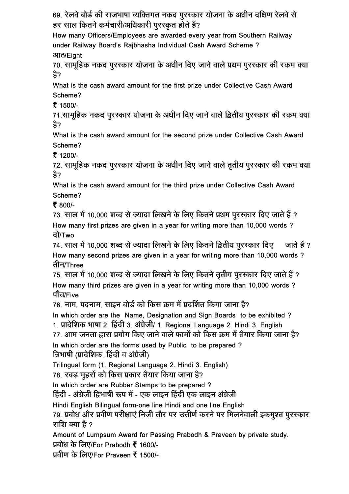69. रेलवे बोर्ड की राजभाषा व्यक्तिगत नकद पूरस्कार योजना के अधीन दक्षिण रेलवे से हर साल कितने कर्मचारी/अधिकारी पुरस्कृत होते हैं?

How many Officers/Employees are awarded every year from Southern Railway under Railway Board's Rajbhasha Individual Cash Award Scheme ? आठ/Eight

70. सामूहिक नकद पूरस्कार योजना के अधीन दिए जाने वाले प्रथम पूरस्कार की रकम क्या है?

What is the cash award amount for the first prize under Collective Cash Award Scheme?

₹ 1500/-

71.सामूहिक नकद पुरस्कार योजना के अधीन दिए जाने वाले द्वितीय पुरस्कार की रकम क्या है?

What is the cash award amount for the second prize under Collective Cash Award Scheme?

₹ 1200/-

72. सामुहिक नकद पुरस्कार योजना के अधीन दिए जाने वाले तृतीय पुरस्कार की रकम क्या ੜੈ?

What is the cash award amount for the third prize under Collective Cash Award Scheme?

₹ 800/-

73. साल में 10,000 शब्द से ज्यादा लिखने के लिए कितने प्रथम पूरस्कार दिए जाते हैं ? How many first prizes are given in a year for writing more than 10,000 words ? <u>ਫ</u>ੋਮ/Two

74. साल में 10,000 शब्द से ज्यादा लिखने के लिए कितने द्वितीय पूरस्कार दिए जाते हैं ? How many second prizes are given in a year for writing more than 10,000 words ? तीन/Three

75. साल में 10,000 शब्द से ज्यादा लिखने के लिए कितने तृतीय पूरस्कार दिए जाते हैं ? How many third prizes are given in a year for writing more than 10,000 words ? पाँच/Five

76. नाम, पदनाम, साइन बोर्ड को किस क्रम में प्रदर्शित किया जाना है?

In which order are the Name, Designation and Sign Boards to be exhibited ?

1. प्रादेशिक भाषा 2. हिंदी 3. अंग्रेजी/ 1. Regional Language 2. Hindi 3. English

77. आम जनता द्वारा प्रयोग किए जाने वाले फार्मों को किस क्रम में तैयार किया जाना है?

In which order are the forms used by Public to be prepared ?

त्रिभाषी (प्रादेशिक, हिंदी व अंग्रेजी)

Trilingual form (1. Regional Language 2. Hindi 3. English)

78. रबड़ मुहरों को किस प्रकार तैयार किया जाना है?

In which order are Rubber Stamps to be prepared ?

हिंदी - अंग्रेजी द्विभाषी रूप में - एक लाइन हिंदी एक लाइन अंग्रेजी

Hindi English Bilingual form-one line Hindi and one line English

79. प्रबोध और प्रवीण परीक्षाएं निजी तौर पर उत्तीर्ण करने पर मिलनेवाली इकमुश्त पुरस्कार राशि क्या है ?

Amount of Lumpsum Award for Passing Prabodh & Praveen by private study.

प्रबोध के लिए/For Prabodh ₹ 1600/-

प्रवीण के लिए/For Praveen ₹ 1500/-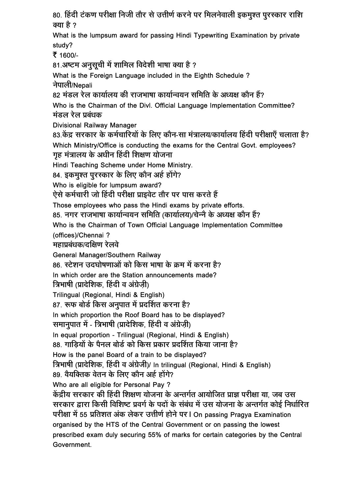80. हिंदी टंकण परीक्षा निजी तौर से उत्तीर्ण करने पर मिलनेवाली इकमुश्त पुरस्कार राशि क्या है ?

What is the lumpsum award for passing Hindi Typewriting Examination by private study?

₹ 1600/-

81.अष्टम अनुसूची में शामिल विदेशी भाषा क्या है ?

What is the Foreign Language included in the Eighth Schedule ? नेपाली/Nepali

82 मंडल रेल कार्यालय की राजभाषा कार्यान्वयन समिति के अध्यक्ष कौन हैं?

Who is the Chairman of the Divl. Official Language Implementation Committee? मंडल रेल प्रबंधक

Divisional Railway Manager

83.केंद्र सरकार के कर्मचारियों के लिए कौन-सा मंत्रालय/कार्यालय हिंदी परीक्षाएँ चलाता है? Which Ministry/Office is conducting the exams for the Central Govt. employees? गह मंत्रालय के अधीन हिंदी शिक्षण योजना

Hindi Teaching Scheme under Home Ministry.

84. इकमुश्त पुरस्कार के लिए कौन अर्ह होंगे?

Who is eligible for lumpsum award?

ऐसे कर्मचारी जो हिंदी परीक्षा प्राइवेट तौर पर पास करते हैं

Those employees who pass the Hindi exams by private efforts.

85. नगर राजभाषा कार्यान्वयन समिति (कार्यालय)/चेन्नै के अध्यक्ष कौन हैं?

Who is the Chairman of Town Official Language Implementation Committee

(offices)/Chennai ?

महाप्रबंधक/दक्षिण रेलवे

General Manager/Southern Railway

86. स्टेशन उदघोषणाओं को किस भाषा के क्रम में करना है?

In which order are the Station announcements made?

त्रिभाषी (प्रादेशिक, हिंदी व अंग्रेजी)

Trilingual (Regional, Hindi & English)

87. रूफ बोर्ड किस अनुपात में प्रदर्शित करना है?

In which proportion the Roof Board has to be displayed?

समानुपात में - त्रिभाषी (प्रादेशिक, हिंदी व अंग्रेज़ी)

In equal proportion - Trilingual (Regional, Hindi & English)

88. गाडियों के पैनल बोर्ड को किस प्रकार प्रदर्शित किया जाना है?

How is the panel Board of a train to be displayed?

त्रिभाषी (प्रादेशिक, हिंदी व अंग्रेजी)/ In trilingual (Regional, Hindi & English)

89. वैयक्तिक वेतन के लिए कौन अर्ह होंगे?

Who are all eligible for Personal Pay ?

केंद्रीय सरकार की हिंदी शिक्षण योजना के अन्तर्गत आयोजित प्राज्ञ परीक्षा या, जब उस सरकार द्वारा किसी विशिष्ट प्रवर्ग के पदों के संबंध में उस योजना के अन्तर्गत कोई निर्धारित परीक्षा में 55 प्रतिशत अंक लेकर उत्तीर्ण होने पर I On passing Pragya Examination organised by the HTS of the Central Government or on passing the lowest prescribed exam duly securing 55% of marks for certain categories by the Central **Government**